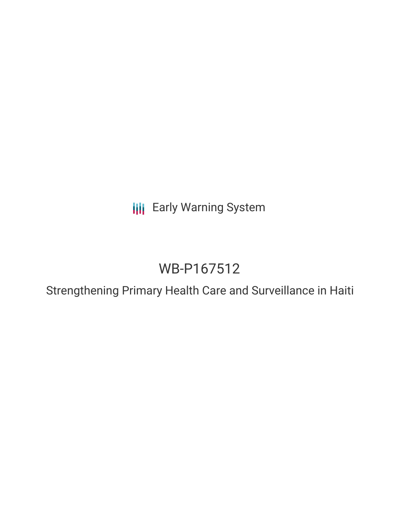**III** Early Warning System

# WB-P167512

Strengthening Primary Health Care and Surveillance in Haiti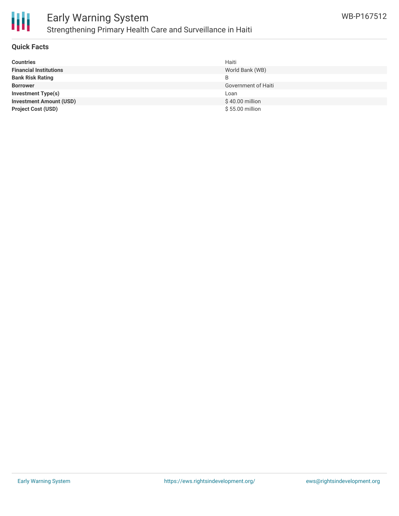

# Early Warning System Strengthening Primary Health Care and Surveillance in Haiti

### **Quick Facts**

| <b>Countries</b>               | Haiti               |
|--------------------------------|---------------------|
| <b>Financial Institutions</b>  | World Bank (WB)     |
| <b>Bank Risk Rating</b>        |                     |
| <b>Borrower</b>                | Government of Haiti |
| <b>Investment Type(s)</b>      | Loan                |
| <b>Investment Amount (USD)</b> | \$40.00 million     |
| <b>Project Cost (USD)</b>      | \$55.00 million     |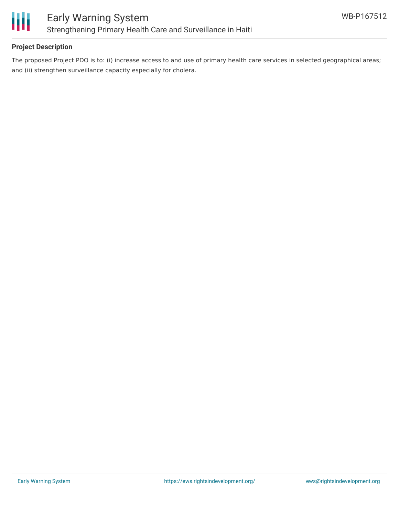

## **Project Description**

The proposed Project PDO is to: (i) increase access to and use of primary health care services in selected geographical areas; and (ii) strengthen surveillance capacity especially for cholera.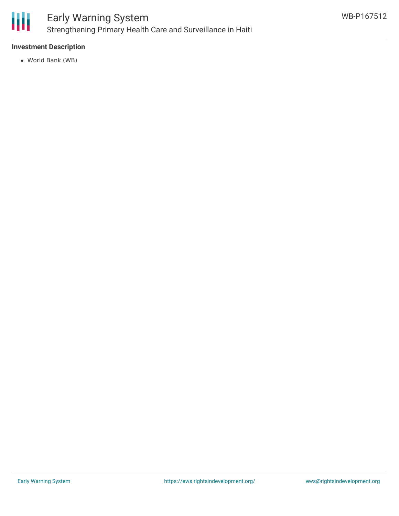

## **Investment Description**

World Bank (WB)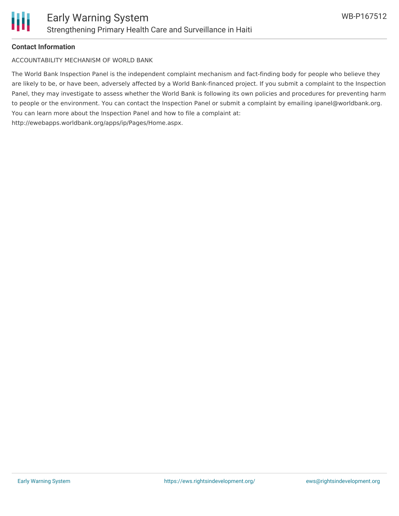

#### **Contact Information**

ACCOUNTABILITY MECHANISM OF WORLD BANK

The World Bank Inspection Panel is the independent complaint mechanism and fact-finding body for people who believe they are likely to be, or have been, adversely affected by a World Bank-financed project. If you submit a complaint to the Inspection Panel, they may investigate to assess whether the World Bank is following its own policies and procedures for preventing harm to people or the environment. You can contact the Inspection Panel or submit a complaint by emailing ipanel@worldbank.org. You can learn more about the Inspection Panel and how to file a complaint at: http://ewebapps.worldbank.org/apps/ip/Pages/Home.aspx.